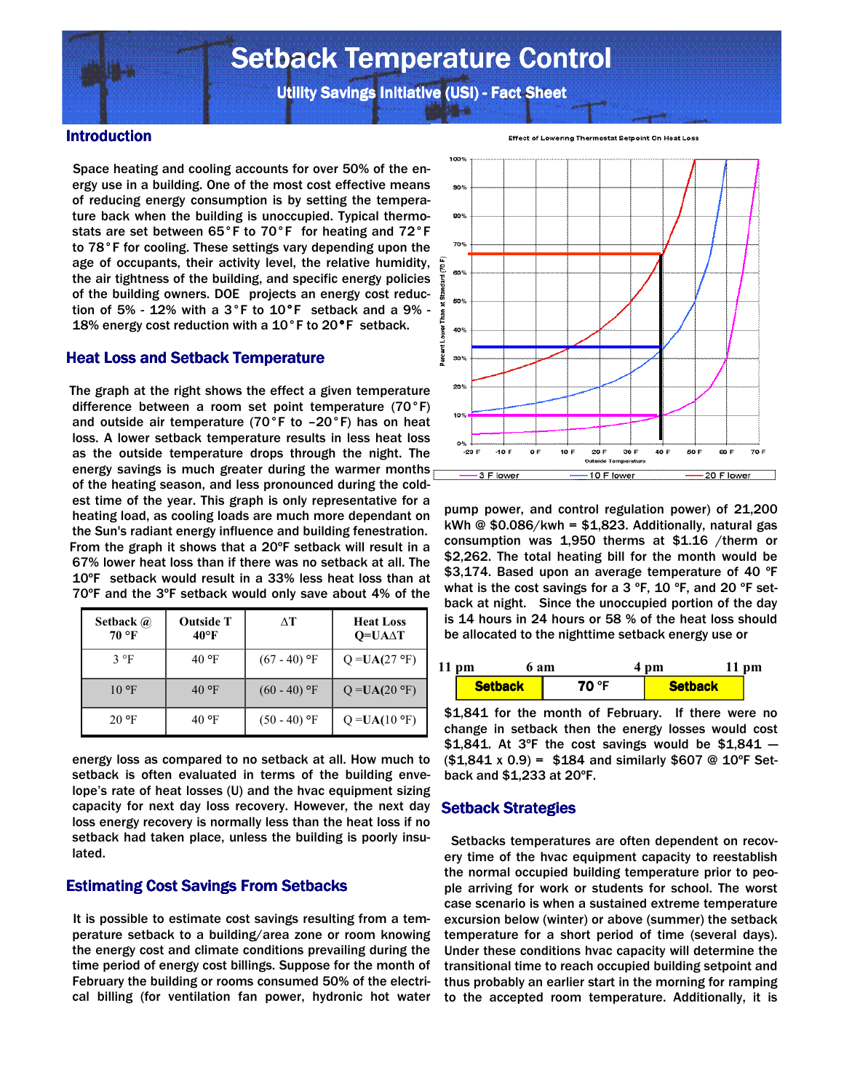# **Setback Temperature Control**

Utility Savings Initiative (USI) - Fact Sheet

#### Introduction

 Space heating and cooling accounts for over 50% of the energy use in a building. One of the most cost effective means of reducing energy consumption is by setting the temperature back when the building is unoccupied. Typical thermostats are set between 65°F to 70°F for heating and 72°F to 78°F for cooling. These settings vary depending upon the age of occupants, their activity level, the relative humidity, the air tightness of the building, and specific energy policies of the building owners. DOE projects an energy cost reduction of 5% - 12% with a 3°F to 10°F setback and a 9% - 18% energy cost reduction with a 10°F to 20°F setback.

## **Heat Loss and Setback Temperature**

 The graph at the right shows the effect a given temperature difference between a room set point temperature (70°F) and outside air temperature (70°F to –20°F) has on heat loss. A lower setback temperature results in less heat loss as the outside temperature drops through the night. The energy savings is much greater during the warmer months of the heating season, and less pronounced during the coldest time of the year. This graph is only representative for a heating load, as cooling loads are much more dependant on the Sun's radiant energy influence and building fenestration. From the graph it shows that a 20ºF setback will result in a 67% lower heat loss than if there was no setback at all. The 10ºF setback would result in a 33% less heat loss than at 70ºF and the 3ºF setback would only save about 4% of the

| Setback @<br>70 °F | <b>Outside T</b><br>$40^{\circ}$ F | ΛT             | <b>Heat Loss</b><br>$Q=UA\Delta T$ |
|--------------------|------------------------------------|----------------|------------------------------------|
| $3^{\circ}F$       | $40^{\circ}$ F                     | $(67 - 40)$ °F | $Q = UA(27 °F)$                    |
| $10^{\circ}$ F     | $40^{\circ}$ F                     | $(60 - 40)$ °F | $Q = UA(20 °F)$                    |
| $20 \text{°F}$     | $40^{\circ}$ F                     | $(50 - 40)$ °F | $Q = UA(10 \degree F)$             |

energy loss as compared to no setback at all. How much to setback is often evaluated in terms of the building envelope's rate of heat losses (U) and the hvac equipment sizing capacity for next day loss recovery. However, the next day loss energy recovery is normally less than the heat loss if no setback had taken place, unless the building is poorly insulated.

# Estimating Cost Savings From Setbacks

 It is possible to estimate cost savings resulting from a temperature setback to a building/area zone or room knowing the energy cost and climate conditions prevailing during the time period of energy cost billings. Suppose for the month of February the building or rooms consumed 50% of the electrical billing (for ventilation fan power, hydronic hot water



Effect of Lowering Thermostat Setpoint On Heat Loss

pump power, and control regulation power) of 21,200 kWh  $\odot$  \$0.086/kwh = \$1,823. Additionally, natural gas consumption was 1,950 therms at \$1.16 /therm or \$2,262. The total heating bill for the month would be \$3,174. Based upon an average temperature of 40 °F what is the cost savings for a 3  $\degree$ F, 10  $\degree$ F, and 20  $\degree$ F setback at night. Since the unoccupied portion of the day is 14 hours in 24 hours or 58 % of the heat loss should be allocated to the nighttime setback energy use or

| $11$ pm<br>6 am |       | 4 pm           |  |
|-----------------|-------|----------------|--|
| <b>Setback</b>  | 70 °F | <b>Setback</b> |  |

\$1,841 for the month of February. If there were no change in setback then the energy losses would cost \$1,841. At 3°F the cost savings would be \$1,841  $($1,841 \times 0.9) = $184$  and similarly \$607 @ 10°F Setback and \$1,233 at 20ºF.

#### Setback Strategies

 Setbacks temperatures are often dependent on recovery time of the hvac equipment capacity to reestablish the normal occupied building temperature prior to people arriving for work or students for school. The worst case scenario is when a sustained extreme temperature excursion below (winter) or above (summer) the setback temperature for a short period of time (several days). Under these conditions hvac capacity will determine the transitional time to reach occupied building setpoint and thus probably an earlier start in the morning for ramping to the accepted room temperature. Additionally, it is